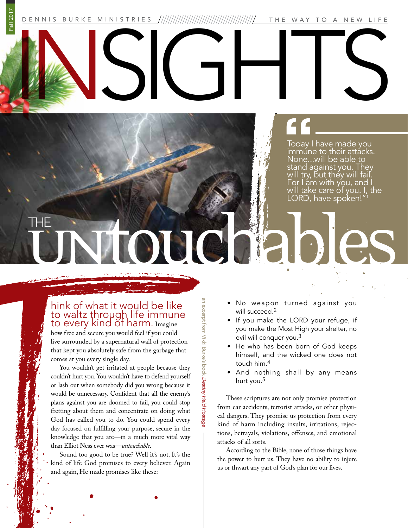DENNIS BURKE MINISTRIES THE WAY TO A NEW LIFE

**"**<br>
Today I<br>
immune<br>
None... INSIGHTS

Today I have made you immune to their attacks. None...will be able to stand against you. They will try, but they will fail. For I am with you, and I will take care of you. I, the LORD, have spoken!"1

## THE Untouchables

Fall 2017

## hink of what it would be like to waltz through life immune to every kind of harm. Imagine

how free and secure you would feel if you could live surrounded by a supernatural wall of protection that kept you absolutely safe from the garbage that comes at you every single day.

BURKE You wouldn't get irritated at people because they couldn't hurt you. You wouldn't have to defend yourself or lash out when somebody did you wrong because it would be unnecessary. Confident that all the enemy's plans against you are doomed to fail, you could stop fretting about them and concentrate on doing what God has called you to do. You could spend every day focused on fulfilling your purpose, secure in the knowledge that you are—in a much more vital way than Elliot Ness ever was—*untouchable*.

Sound too good to be true? Well it's not. It's the kind of life God promises to every believer. Again and again, He made promises like these:

- No weapon turned against you will succeed.<sup>2</sup>
- If you make the LORD your refuge, if you make the Most High your shelter, no evil will conquer you.3
- He who has been born of God keeps himself, and the wicked one does not touch him.4
- And nothing shall by any means hurt you.5

These scriptures are not only promise protection from car accidents, terrorist attacks, or other physical dangers. They promise us protection from every kind of harm including insults, irritations, rejections, betrayals, violations, offenses, and emotional attacks of all sorts.

According to the Bible, none of those things have the power to hurt us. They have no ability to injure us or thwart any part of God's plan for our lives.

BJ<br>E  $\widehat{\theta}$ 

*Destiny Held Hostage*

an excerpt from Vikki Burke's book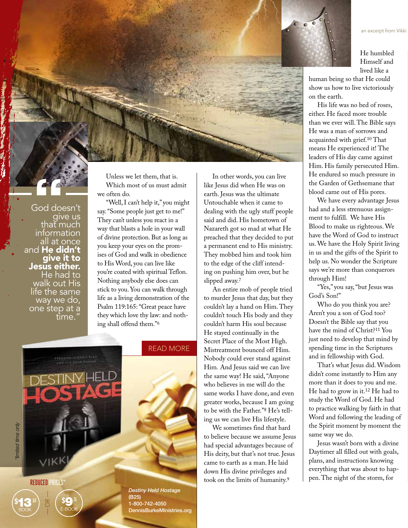

He humbled Himself and lived like a

an excerpt from Vikki

human being so that He could show us how to live victoriously on the earth.

His life was no bed of roses, either. He faced more trouble than we ever will. The Bible says He was a man of sorrows and acquainted with grief.10 That means He experienced it! The leaders of His day came against Him. His family persecuted Him. He endured so much pressure in the Garden of Gethsemane that blood came out of His pores.

We have every advantage Jesus had and a less strenuous assignment to fulfill. We have His Blood to make us righteous. We have the Word of God to instruct us. We have the Holy Spirit living in us and the gifts of the Spirit to help us. No wonder the Scripture says we're more than conquerors through Him!

"Yes," you say, "but Jesus was God's Son!"

Who do you think you are? Aren't you a son of God too? Doesn't the Bible say that you have the mind of Christ?11 You just need to develop that mind by spending time in the Scriptures and in fellowship with God.

That's what Jesus did. Wisdom didn't come instantly to Him any more than it does to you and me. He had to grow in it.12 He had to study the Word of God. He had to practice walking by faith in that Word and following the leading of the Spirit moment by moment the same way we do.

Jesus wasn't born with a divine Daytimer all filled out with goals, plans, and instructions knowing everything that was about to happen. The night of the storm, for

Unless we let them, that is. Which most of us must admit we often do.

"Well, I can't help it," you might say. "Some people just get to me!" They can't unless you react in a way that blasts a hole in your wall of divine protection. But as long as you keep your eyes on the promises of God and walk in obedience to His Word, you can live like you're coated with spiritual Teflon. Nothing anybody else does can stick to you. You can walk through life as a living demonstration of the Psalm 119:165: "Great peace have they which love thy law: and nothing shall offend them."6



In other words, you can live

An entire mob of people tried to murder Jesus that day, but they couldn't lay a hand on Him. They couldn't touch His body and they couldn't harm His soul because He stayed continually in the Secret Place of the Most High. Mistreatment bounced off Him. Nobody could ever stand against Him*.* And Jesus said we can live the same way! He said, "Anyone who believes in me will do the same works I have done, and even greater works, because I am going to be with the Father."8 He's telling us we can live His lifestyle.

We sometimes find that hard to believe because we assume Jesus had special advantages because of His deity, but that's not true. Jesus came to earth as a man. He laid down His divine privileges and took on the limits of humanity.9

God doesn't give us<br>that much

**"**<br>God doe



*Destiny Held Hostage*  (B25) 1-800-742-4050 DennisBurkeMinistries.org

limited time only *\*limited time only*

REDUCED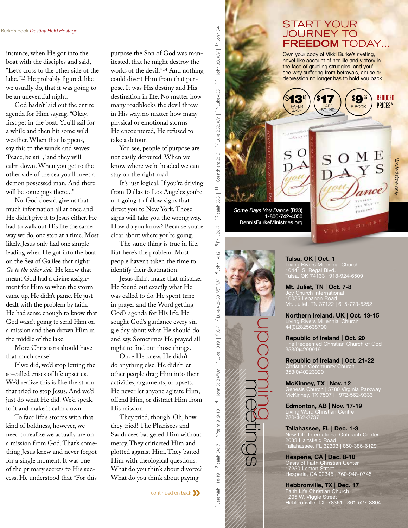instance, when He got into the boat with the disciples and said, "Let's cross to the other side of the lake."13 He probably figured, like we usually do, that it was going to be an uneventful night.

God hadn't laid out the entire agenda for Him saying, "Okay, first get in the boat. You'll sail for a while and then hit some wild weather. When that happens, say this to the winds and waves: 'Peace, be still,' and they will calm down. When you get to the other side of the sea you'll meet a demon possessed man. And there will be some pigs there..."

No. God doesn't give us that much information all at once and He didn't give it to Jesus either. He had to walk out His life the same way we do, one step at a time. Most likely, Jesus only had one simple leading when He got into the boat on the Sea of Galilee that night: *Go to the other side*. He knew that meant God had a divine assignment for Him so when the storm came up, He didn't panic. He just dealt with the problem by faith. He had sense enough to know that God wasn't going to send Him on a mission and then drown Him in the middle of the lake.

More Christians should have that much sense!

If we did, we'd stop letting the so-called crises of life upset us. We'd realize this is like the storm that tried to stop Jesus. And we'd just do what He did. We'd speak to it and make it calm down.

To face life's storms with that kind of boldness, however, we need to realize we actually are on a mission from God. That's something Jesus knew and never forgot for a single moment. It was one of the primary secrets to His success. He understood that "For this

continued on back**»**

purpose the Son of God was manifested, that he might destroy the works of the devil."14 And nothing destination in life. No matter how You see, people of purpose are know where we're headed we can It's just logical. If you're driving from Dallas to Los Angeles you're signs will take you the wrong way. How do you know? Because you're The same thing is true in life. Jesus didn't make that mistake. sought God's guidance every single day about what He should do and say. Sometimes He prayed all other people drag Him into their

14 1 John 3:8, KJV | <sup>15</sup> John 5:41

Luke 4:35

 $\overline{13}$ 

 $\vert$  12 Luke 2:52, KJV  $\vert$ 

Isaiah 53:3 | <sup>11</sup> 1 Corinthians 2:16

 $\supseteq$ 

 $9$  Phil. 2:6-7

1 Jeremiah 1:18-19 | <sup>2</sup> Psalm 91:9-10 | 4 1 John 5:18 MKV/ | <sup>5</sup> Luke 10:19 | <sup>6</sup> KV/ | <sup>7</sup> Luke 4:29-30, NK/ | <sup>8</sup> John 14:12 | 9 Phil. 26-7 | <sup>10</sup> Islah 5:33 | <sup>11</sup>1 Corinthians 2:16 | <sup>12</sup> Luke 4:35, KV/ | <sup>13</sup> John 3:

4 1 John 5:18 NKJV |  $^5$  Luke 10:19 |  $^6$  KJV |  $^7$  Luke 4:29-30, NLT, NIV |  $^8$  John 14:12

3 Psalm 91:9-10

leremiah 1:18-19 | <sup>2</sup> Isaiah 54:17 |

*Some Days You Dance* (B23)

upcomings up

DennisBurkeMinistries.org

1-800-742-4050

could divert Him from that purpose. It was His destiny and His

many roadblocks the devil threw in His way, no matter how many physical or emotional storms He encountered, He refused to

not easily detoured. When we

not going to follow signs that direct you to New York. Those

clear about where you're going.

But here's the problem: Most people haven't taken the time to identify their destination.

He found out exactly what He was called to do. He spent time in prayer and the Word getting God's agenda for His life. He

night to find out those things. Once He knew, He didn't do anything else. He didn't let

activities, arguments, or upsets. He never let anyone agitate Him, offend Him, or distract Him from

They tried, though. Oh, how they tried! The Pharisees and Sadducees badgered Him without mercy. They criticized Him and plotted against Him. They baited Him with theological questions: What do you think about divorce? What do you think about paying

His mission.

stay on the right road.

take a detour.

## START YOUR JOURNEY TO **FREEDOM** TODAY…

Own your copy of Vikki Burke's riveting, novel-like account of her life and victory in the face of grueling struggles, and you'll see why suffering from betrayals, abuse or depression no longer has to hold you back.

> \$9.75 E-BOOK

> > $B^{(1)}$  it is  $\epsilon$

REDUCED PRICES\*

*\*limited time only*

fimited time only

HARD BOUND

.60 PAPER BACK

O

 $\mathbf{513}^{51}$  (\$17

\$

Tulsa, OK | Oct. 1 Living Rivers Millennial Church 10441 S. Regal Blvd. Tulsa, OK 74133 | 918-924-6509

Mt. Juliet, TN | Oct. 7-8 10085 Lebanon Road Mt. Juliet, TN 37122 | 615-773-5252

Northern Ireland, UK | Oct. 13-15 Living Rivers Millennial Church 44(0)2825638700

Republic of Ireland | Oct. 20 The Redeemed Christian Church of God 353(0)4299919

Republic of Ireland | Oct. 21-22 Christian Community Church 353(0)40223920

McKinney, TX | Nov. 12 Genesis Church | 5780 Virginia Parkway McKinney, TX 75071 | 972-562-9333

Edmonton, AB | Nov. 17-19 Living Word Christian Centre

Tallahassee, FL | Dec. 1-3 New Life International Outreach Center 2633 Hartsfield Road Tallahassee, FL 32303 | 850-386-6129

Hesperia, CA | Dec. 8-10 Oasis of Faith Christian Center 17250 Lemon Street Hesperia, CA 92345 | 760-948-0745

Hebbronville, TX | Dec. 17 Faith Life Christian Church 1205 W. Viggie Street Hebbronville, TX 78361 | 361-527-3804